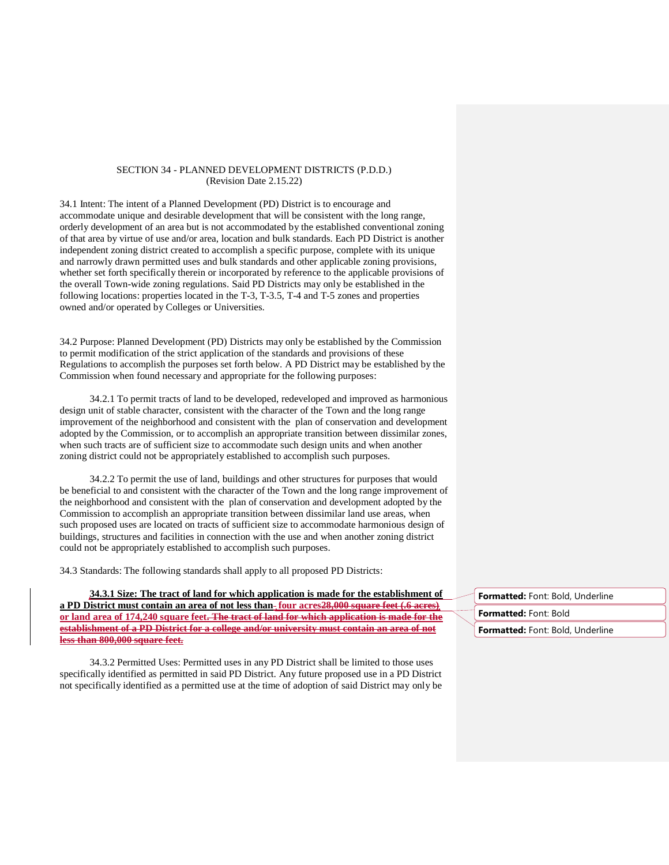## SECTION 34 - PLANNED DEVELOPMENT DISTRICTS (P.D.D.) (Revision Date 2.15.22)

34.1 Intent: The intent of a Planned Development (PD) District is to encourage and accommodate unique and desirable development that will be consistent with the long range, orderly development of an area but is not accommodated by the established conventional zoning of that area by virtue of use and/or area, location and bulk standards. Each PD District is another independent zoning district created to accomplish a specific purpose, complete with its unique and narrowly drawn permitted uses and bulk standards and other applicable zoning provisions, whether set forth specifically therein or incorporated by reference to the applicable provisions of the overall Town-wide zoning regulations. Said PD Districts may only be established in the following locations: properties located in the T-3, T-3.5, T-4 and T-5 zones and properties owned and/or operated by Colleges or Universities.

34.2 Purpose: Planned Development (PD) Districts may only be established by the Commission to permit modification of the strict application of the standards and provisions of these Regulations to accomplish the purposes set forth below. A PD District may be established by the Commission when found necessary and appropriate for the following purposes:

34.2.1 To permit tracts of land to be developed, redeveloped and improved as harmonious design unit of stable character, consistent with the character of the Town and the long range improvement of the neighborhood and consistent with the plan of conservation and development adopted by the Commission, or to accomplish an appropriate transition between dissimilar zones, when such tracts are of sufficient size to accommodate such design units and when another zoning district could not be appropriately established to accomplish such purposes.

34.2.2 To permit the use of land, buildings and other structures for purposes that would be beneficial to and consistent with the character of the Town and the long range improvement of the neighborhood and consistent with the plan of conservation and development adopted by the Commission to accomplish an appropriate transition between dissimilar land use areas, when such proposed uses are located on tracts of sufficient size to accommodate harmonious design of buildings, structures and facilities in connection with the use and when another zoning district could not be appropriately established to accomplish such purposes.

34.3 Standards: The following standards shall apply to all proposed PD Districts:

**34.3.1 Size: The tract of land for which application is made for the establishment of a PD District must contain an area of not less than four acres28,000 square feet (.6 acres) or land area of 174,240 square feet. The tract of land for which application is made for the establishment of a PD District for a college and/or university must contain an area of not less than 800,000 square feet.**

34.3.2 Permitted Uses: Permitted uses in any PD District shall be limited to those uses specifically identified as permitted in said PD District. Any future proposed use in a PD District not specifically identified as a permitted use at the time of adoption of said District may only be

| <b>Formatted:</b> Font: Bold, Underline |  |
|-----------------------------------------|--|
| <b>Formatted:</b> Font: Bold            |  |
| <b>Formatted:</b> Font: Bold, Underline |  |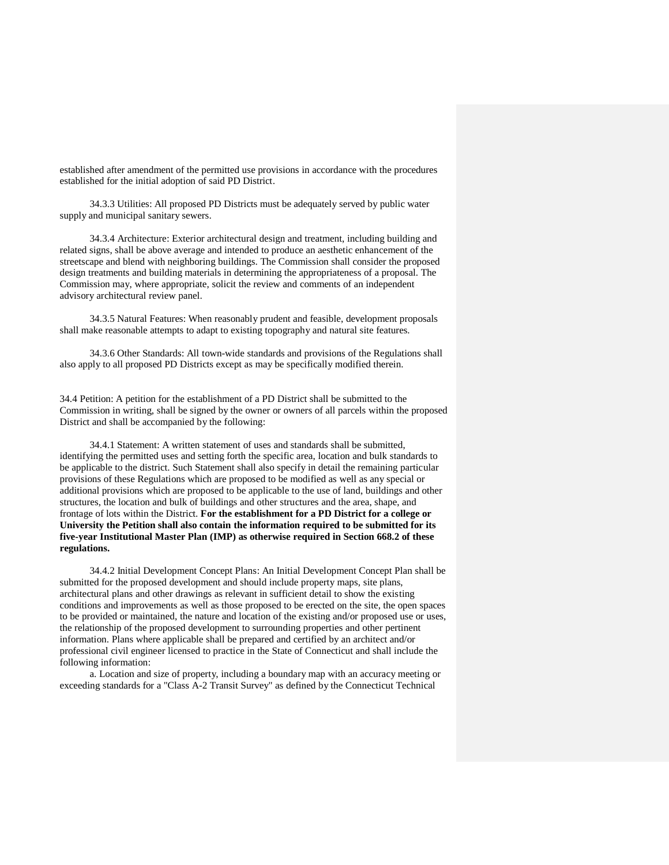established after amendment of the permitted use provisions in accordance with the procedures established for the initial adoption of said PD District.

34.3.3 Utilities: All proposed PD Districts must be adequately served by public water supply and municipal sanitary sewers.

34.3.4 Architecture: Exterior architectural design and treatment, including building and related signs, shall be above average and intended to produce an aesthetic enhancement of the streetscape and blend with neighboring buildings. The Commission shall consider the proposed design treatments and building materials in determining the appropriateness of a proposal. The Commission may, where appropriate, solicit the review and comments of an independent advisory architectural review panel.

34.3.5 Natural Features: When reasonably prudent and feasible, development proposals shall make reasonable attempts to adapt to existing topography and natural site features.

34.3.6 Other Standards: All town-wide standards and provisions of the Regulations shall also apply to all proposed PD Districts except as may be specifically modified therein.

34.4 Petition: A petition for the establishment of a PD District shall be submitted to the Commission in writing, shall be signed by the owner or owners of all parcels within the proposed District and shall be accompanied by the following:

34.4.1 Statement: A written statement of uses and standards shall be submitted, identifying the permitted uses and setting forth the specific area, location and bulk standards to be applicable to the district. Such Statement shall also specify in detail the remaining particular provisions of these Regulations which are proposed to be modified as well as any special or additional provisions which are proposed to be applicable to the use of land, buildings and other structures, the location and bulk of buildings and other structures and the area, shape, and frontage of lots within the District. **For the establishment for a PD District for a college or University the Petition shall also contain the information required to be submitted for its five-year Institutional Master Plan (IMP) as otherwise required in Section 668.2 of these regulations.**

34.4.2 Initial Development Concept Plans: An Initial Development Concept Plan shall be submitted for the proposed development and should include property maps, site plans, architectural plans and other drawings as relevant in sufficient detail to show the existing conditions and improvements as well as those proposed to be erected on the site, the open spaces to be provided or maintained, the nature and location of the existing and/or proposed use or uses, the relationship of the proposed development to surrounding properties and other pertinent information. Plans where applicable shall be prepared and certified by an architect and/or professional civil engineer licensed to practice in the State of Connecticut and shall include the following information:

a. Location and size of property, including a boundary map with an accuracy meeting or exceeding standards for a "Class A-2 Transit Survey" as defined by the Connecticut Technical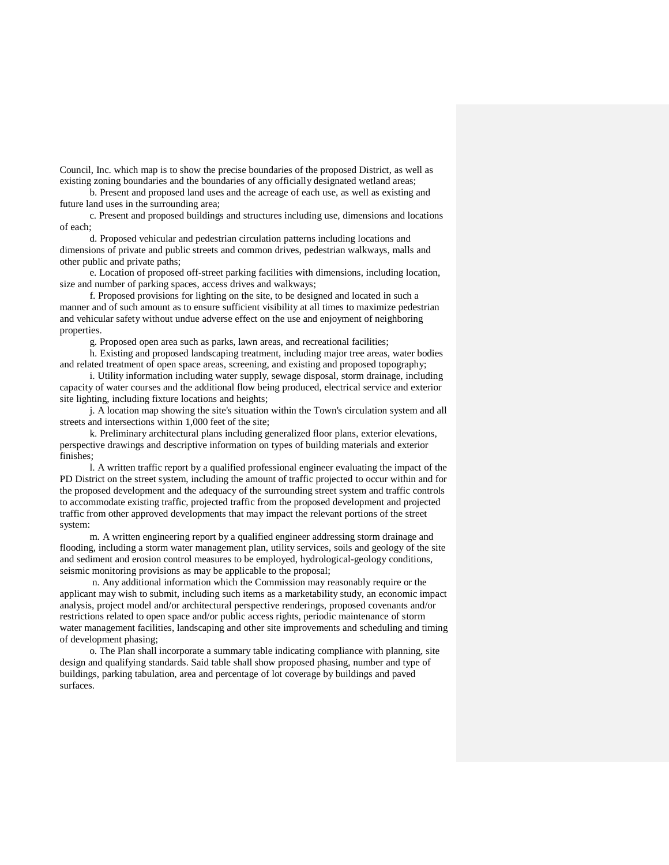Council, Inc. which map is to show the precise boundaries of the proposed District, as well as existing zoning boundaries and the boundaries of any officially designated wetland areas;

b. Present and proposed land uses and the acreage of each use, as well as existing and future land uses in the surrounding area;

c. Present and proposed buildings and structures including use, dimensions and locations of each;

d. Proposed vehicular and pedestrian circulation patterns including locations and dimensions of private and public streets and common drives, pedestrian walkways, malls and other public and private paths;

e. Location of proposed off-street parking facilities with dimensions, including location, size and number of parking spaces, access drives and walkways;

f. Proposed provisions for lighting on the site, to be designed and located in such a manner and of such amount as to ensure sufficient visibility at all times to maximize pedestrian and vehicular safety without undue adverse effect on the use and enjoyment of neighboring properties.

g. Proposed open area such as parks, lawn areas, and recreational facilities;

h. Existing and proposed landscaping treatment, including major tree areas, water bodies and related treatment of open space areas, screening, and existing and proposed topography;

i. Utility information including water supply, sewage disposal, storm drainage, including capacity of water courses and the additional flow being produced, electrical service and exterior site lighting, including fixture locations and heights;

j. A location map showing the site's situation within the Town's circulation system and all streets and intersections within 1,000 feet of the site;

k. Preliminary architectural plans including generalized floor plans, exterior elevations, perspective drawings and descriptive information on types of building materials and exterior finishes;

l. A written traffic report by a qualified professional engineer evaluating the impact of the PD District on the street system, including the amount of traffic projected to occur within and for the proposed development and the adequacy of the surrounding street system and traffic controls to accommodate existing traffic, projected traffic from the proposed development and projected traffic from other approved developments that may impact the relevant portions of the street system:

m. A written engineering report by a qualified engineer addressing storm drainage and flooding, including a storm water management plan, utility services, soils and geology of the site and sediment and erosion control measures to be employed, hydrological-geology conditions, seismic monitoring provisions as may be applicable to the proposal;

n. Any additional information which the Commission may reasonably require or the applicant may wish to submit, including such items as a marketability study, an economic impact analysis, project model and/or architectural perspective renderings, proposed covenants and/or restrictions related to open space and/or public access rights, periodic maintenance of storm water management facilities, landscaping and other site improvements and scheduling and timing of development phasing;

o. The Plan shall incorporate a summary table indicating compliance with planning, site design and qualifying standards. Said table shall show proposed phasing, number and type of buildings, parking tabulation, area and percentage of lot coverage by buildings and paved surfaces.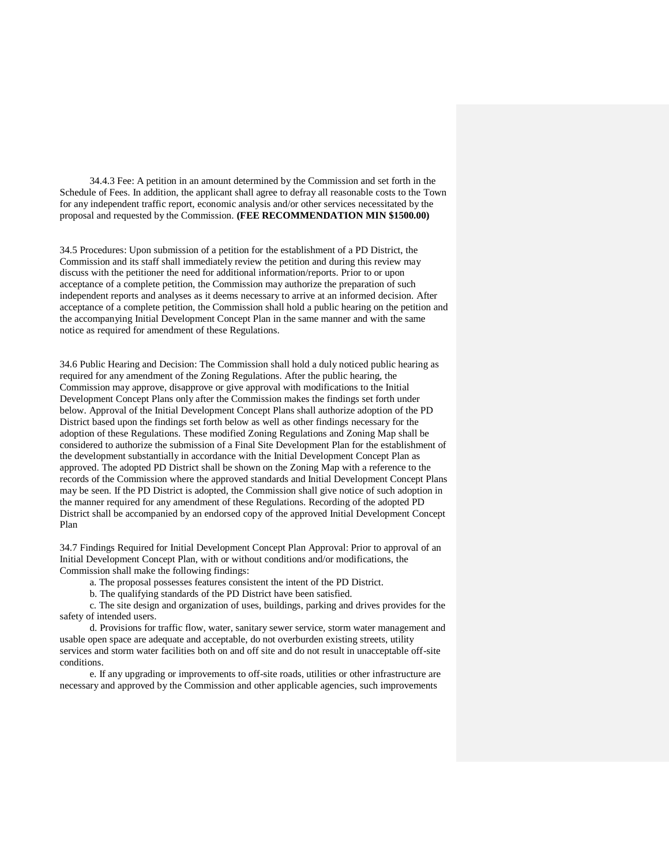34.4.3 Fee: A petition in an amount determined by the Commission and set forth in the Schedule of Fees. In addition, the applicant shall agree to defray all reasonable costs to the Town for any independent traffic report, economic analysis and/or other services necessitated by the proposal and requested by the Commission. **(FEE RECOMMENDATION MIN \$1500.00)**

34.5 Procedures: Upon submission of a petition for the establishment of a PD District, the Commission and its staff shall immediately review the petition and during this review may discuss with the petitioner the need for additional information/reports. Prior to or upon acceptance of a complete petition, the Commission may authorize the preparation of such independent reports and analyses as it deems necessary to arrive at an informed decision. After acceptance of a complete petition, the Commission shall hold a public hearing on the petition and the accompanying Initial Development Concept Plan in the same manner and with the same notice as required for amendment of these Regulations.

34.6 Public Hearing and Decision: The Commission shall hold a duly noticed public hearing as required for any amendment of the Zoning Regulations. After the public hearing, the Commission may approve, disapprove or give approval with modifications to the Initial Development Concept Plans only after the Commission makes the findings set forth under below. Approval of the Initial Development Concept Plans shall authorize adoption of the PD District based upon the findings set forth below as well as other findings necessary for the adoption of these Regulations. These modified Zoning Regulations and Zoning Map shall be considered to authorize the submission of a Final Site Development Plan for the establishment of the development substantially in accordance with the Initial Development Concept Plan as approved. The adopted PD District shall be shown on the Zoning Map with a reference to the records of the Commission where the approved standards and Initial Development Concept Plans may be seen. If the PD District is adopted, the Commission shall give notice of such adoption in the manner required for any amendment of these Regulations. Recording of the adopted PD District shall be accompanied by an endorsed copy of the approved Initial Development Concept Plan

34.7 Findings Required for Initial Development Concept Plan Approval: Prior to approval of an Initial Development Concept Plan, with or without conditions and/or modifications, the Commission shall make the following findings:

a. The proposal possesses features consistent the intent of the PD District.

b. The qualifying standards of the PD District have been satisfied.

c. The site design and organization of uses, buildings, parking and drives provides for the safety of intended users.

d. Provisions for traffic flow, water, sanitary sewer service, storm water management and usable open space are adequate and acceptable, do not overburden existing streets, utility services and storm water facilities both on and off site and do not result in unacceptable off-site conditions.

e. If any upgrading or improvements to off-site roads, utilities or other infrastructure are necessary and approved by the Commission and other applicable agencies, such improvements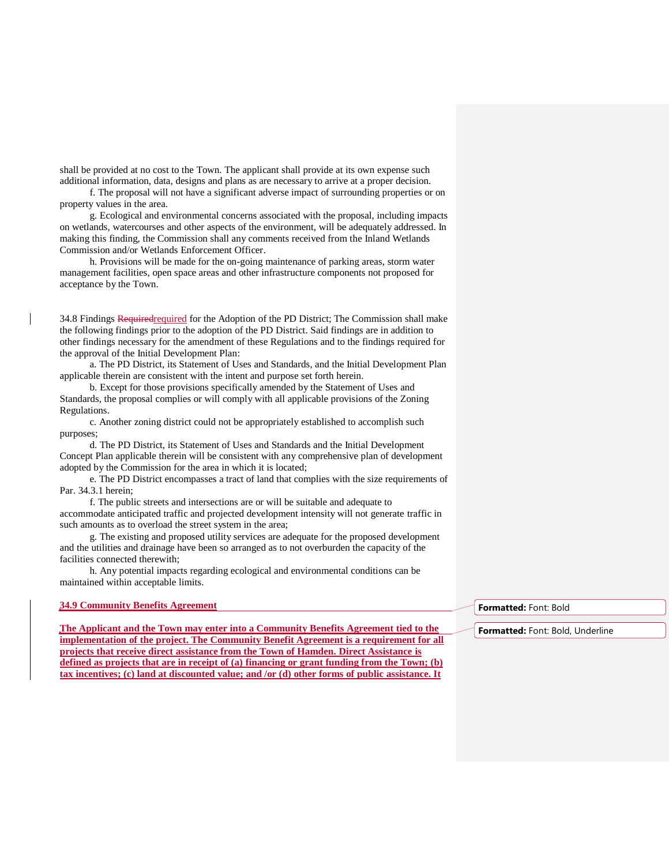shall be provided at no cost to the Town. The applicant shall provide at its own expense such additional information, data, designs and plans as are necessary to arrive at a proper decision.

f. The proposal will not have a significant adverse impact of surrounding properties or on property values in the area.

g. Ecological and environmental concerns associated with the proposal, including impacts on wetlands, watercourses and other aspects of the environment, will be adequately addressed. In making this finding, the Commission shall any comments received from the Inland Wetlands Commission and/or Wetlands Enforcement Officer.

h. Provisions will be made for the on-going maintenance of parking areas, storm water management facilities, open space areas and other infrastructure components not proposed for acceptance by the Town.

34.8 Findings Requiredrequired for the Adoption of the PD District; The Commission shall make the following findings prior to the adoption of the PD District. Said findings are in addition to other findings necessary for the amendment of these Regulations and to the findings required for the approval of the Initial Development Plan:

a. The PD District, its Statement of Uses and Standards, and the Initial Development Plan applicable therein are consistent with the intent and purpose set forth herein.

b. Except for those provisions specifically amended by the Statement of Uses and Standards, the proposal complies or will comply with all applicable provisions of the Zoning Regulations.

c. Another zoning district could not be appropriately established to accomplish such purposes;

d. The PD District, its Statement of Uses and Standards and the Initial Development Concept Plan applicable therein will be consistent with any comprehensive plan of development adopted by the Commission for the area in which it is located;

e. The PD District encompasses a tract of land that complies with the size requirements of Par. 34.3.1 herein;

f. The public streets and intersections are or will be suitable and adequate to

accommodate anticipated traffic and projected development intensity will not generate traffic in such amounts as to overload the street system in the area;

g. The existing and proposed utility services are adequate for the proposed development and the utilities and drainage have been so arranged as to not overburden the capacity of the facilities connected therewith;

h. Any potential impacts regarding ecological and environmental conditions can be maintained within acceptable limits.

## **34.9 Community Benefits Agreement**

**The Applicant and the Town may enter into a Community Benefits Agreement tied to the implementation of the project. The Community Benefit Agreement is a requirement for all projects that receive direct assistance from the Town of Hamden. Direct Assistance is defined as projects that are in receipt of (a) financing or grant funding from the Town; (b) tax incentives; (c) land at discounted value; and /or (d) other forms of public assistance. It** 

**Formatted:** Font: Bold

**Formatted:** Font: Bold, Underline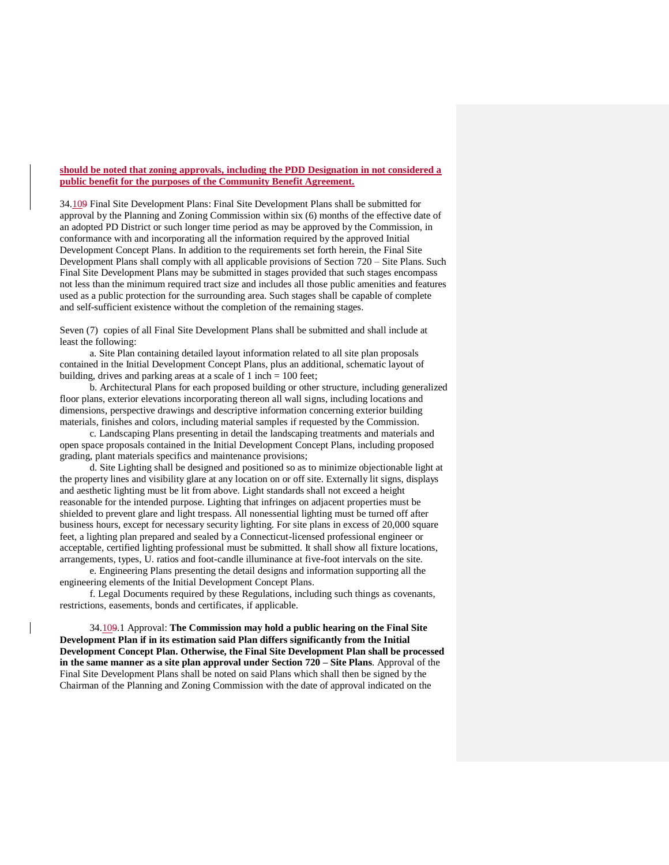## **should be noted that zoning approvals, including the PDD Designation in not considered a public benefit for the purposes of the Community Benefit Agreement.**

34.109 Final Site Development Plans: Final Site Development Plans shall be submitted for approval by the Planning and Zoning Commission within six (6) months of the effective date of an adopted PD District or such longer time period as may be approved by the Commission, in conformance with and incorporating all the information required by the approved Initial Development Concept Plans. In addition to the requirements set forth herein, the Final Site Development Plans shall comply with all applicable provisions of Section 720 – Site Plans. Such Final Site Development Plans may be submitted in stages provided that such stages encompass not less than the minimum required tract size and includes all those public amenities and features used as a public protection for the surrounding area. Such stages shall be capable of complete and self-sufficient existence without the completion of the remaining stages.

Seven (7) copies of all Final Site Development Plans shall be submitted and shall include at least the following:

a. Site Plan containing detailed layout information related to all site plan proposals contained in the Initial Development Concept Plans, plus an additional, schematic layout of building, drives and parking areas at a scale of 1 inch = 100 feet;

b. Architectural Plans for each proposed building or other structure, including generalized floor plans, exterior elevations incorporating thereon all wall signs, including locations and dimensions, perspective drawings and descriptive information concerning exterior building materials, finishes and colors, including material samples if requested by the Commission.

c. Landscaping Plans presenting in detail the landscaping treatments and materials and open space proposals contained in the Initial Development Concept Plans, including proposed grading, plant materials specifics and maintenance provisions;

d. Site Lighting shall be designed and positioned so as to minimize objectionable light at the property lines and visibility glare at any location on or off site. Externally lit signs, displays and aesthetic lighting must be lit from above. Light standards shall not exceed a height reasonable for the intended purpose. Lighting that infringes on adjacent properties must be shielded to prevent glare and light trespass. All nonessential lighting must be turned off after business hours, except for necessary security lighting. For site plans in excess of 20,000 square feet, a lighting plan prepared and sealed by a Connecticut-licensed professional engineer or acceptable, certified lighting professional must be submitted. It shall show all fixture locations, arrangements, types, U. ratios and foot-candle illuminance at five-foot intervals on the site.

e. Engineering Plans presenting the detail designs and information supporting all the engineering elements of the Initial Development Concept Plans.

f. Legal Documents required by these Regulations, including such things as covenants, restrictions, easements, bonds and certificates, if applicable.

34.109.1 Approval: **The Commission may hold a public hearing on the Final Site Development Plan if in its estimation said Plan differs significantly from the Initial Development Concept Plan. Otherwise, the Final Site Development Plan shall be processed in the same manner as a site plan approval under Section 720 – Site Plans**. Approval of the Final Site Development Plans shall be noted on said Plans which shall then be signed by the Chairman of the Planning and Zoning Commission with the date of approval indicated on the